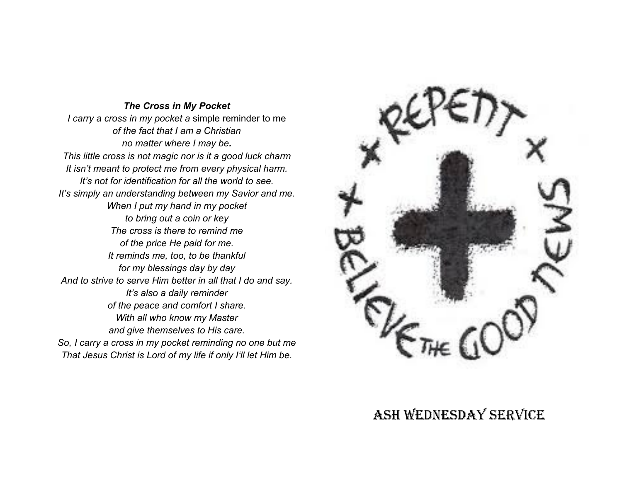#### *The Cross in My Pocket*

*I carry a cross in my pocket a* simple reminder to me *of the fact that I am a Christian no matter where I may be. This little cross is not magic nor is it a good luck charm It isn't meant to protect me from every physical harm. It's not for identification for all the world to see. It's simply an understanding between my Savior and me. When I put my hand in my pocket to bring out a coin or key The cross is there to remind me of the price He paid for me. It reminds me, too, to be thankful for my blessings day by day And to strive to serve Him better in all that I do and say. It's also a daily reminder of the peace and comfort I share. With all who know my Master and give themselves to His care. So, I carry a cross in my pocket reminding no one but me That Jesus Christ is Lord of my life if only I'll let Him be.*



# Ash Wednesday service